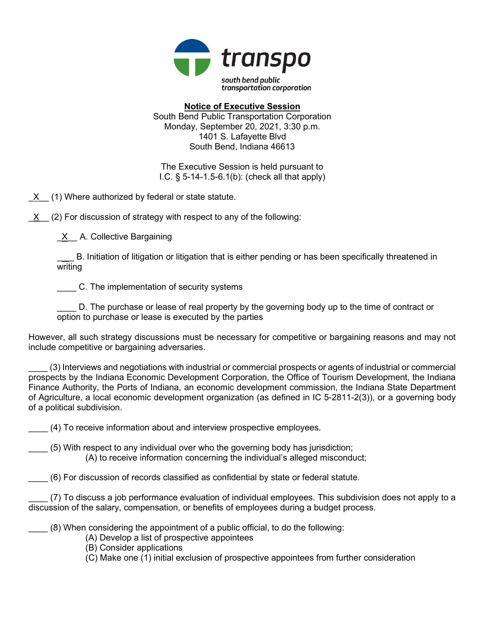

Notice of Executive Session South Bend Public Transportation Corporation Monday, September 20, 2021, 3:30 p.m. 1401 S. Lafayette Blvd South Bend, Indiana 46613

The Executive Session is held pursuant to I.C. § 5-14-1.5-6.1(b): (check all that apply)

 $X$  (1) Where authorized by federal or state statute.

 $X$  (2) For discussion of strategy with respect to any of the following:

X A. Collective Bargaining

B. Initiation of litigation or litigation that is either pending or has been specifically threatened in writing

C. The implementation of security systems

D. The purchase or lease of real property by the governing body up to the time of contract or option to purchase or lease is executed by the parties

However, all such strategy discussions must be necessary for competitive or bargaining reasons and may not include competitive or bargaining adversaries.

\_\_\_\_ (3) Interviews and negotiations with industrial or commercial prospects or agents of industrial or commercial prospects by the Indiana Economic Development Corporation, the Office of Tourism Development, the Indiana Finance Authority, the Ports of Indiana, an economic development commission, the Indiana State Department of Agriculture, a local economic development organization (as defined in IC 5-2811-2(3)), or a governing body of a political subdivision.

(4) To receive information about and interview prospective employees.

\_\_\_\_ (5) With respect to any individual over who the governing body has jurisdiction; (A) to receive information concerning the individual's alleged misconduct;

\_\_\_\_ (6) For discussion of records classified as confidential by state or federal statute.

\_\_\_\_ (7) To discuss a job performance evaluation of individual employees. This subdivision does not apply to a discussion of the salary, compensation, or benefits of employees during a budget process.

\_\_\_\_ (8) When considering the appointment of a public official, to do the following:

(A) Develop a list of prospective appointees

(B) Consider applications

(C) Make one (1) initial exclusion of prospective appointees from further consideration